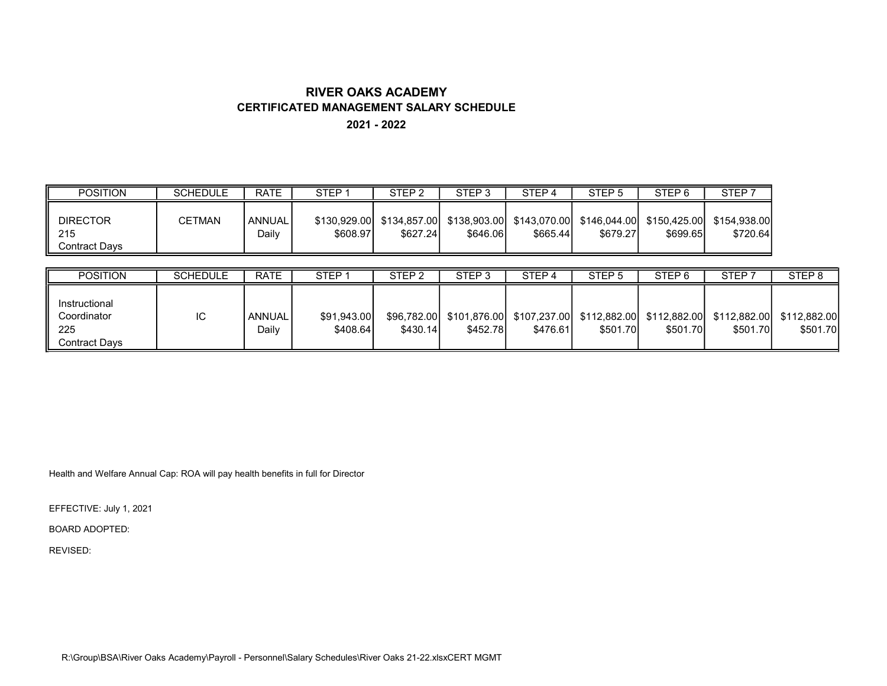## RIVER OAKS ACADEMY CERTIFICATED MANAGEMENT SALARY SCHEDULE

2021 - 2022

| <b>POSITION</b>                         | <b>SCHEDULE</b> | <b>RATE</b>            | <b>STEP</b> | STEP <sub>2</sub> | STEP <sub>3</sub> | STEP <sub>4</sub> | STEP <sub>5</sub> | STEP <sub>6</sub> | STEP <sub>7</sub>                                                                                      |
|-----------------------------------------|-----------------|------------------------|-------------|-------------------|-------------------|-------------------|-------------------|-------------------|--------------------------------------------------------------------------------------------------------|
| <b>DIRECTOR</b><br>215<br>Contract Days | CETMAN          | <b>ANNUAL</b><br>Daily | \$608.97    | \$627.24          | \$646.06          | \$665.44          | \$679.27          | \$699.65          | \$130,929.00 \$134,857.00 \$138,903.00 \$143,070.00 \$146,044.00 \$150,425.00 \$154,938.00<br>\$720.64 |

| <b>POSITION</b>                                      | <b>SCHEDULE</b> | <b>RATE</b>     | STEP <sup>-</sup>       | STEP <sub>2</sub> | STEP <sub>3</sub> | STEP <sub>4</sub>                                                                                     | STEP <sub>5</sub> | STEP <sub>6</sub> | STEP <sup>:</sup> | STEP <sub>8</sub> |
|------------------------------------------------------|-----------------|-----------------|-------------------------|-------------------|-------------------|-------------------------------------------------------------------------------------------------------|-------------------|-------------------|-------------------|-------------------|
| Instructional<br>Coordinator<br>225<br>Contract Davs | IС              | ANNUAL<br>Dailv | \$91.943.00<br>\$408.64 | \$430.14          | \$452.78          | \$96,782.00 \$101,876.00 \$107,237.00 \$112,882.00 \$112,882.00 \$112,882.00 \$112,882.00<br>\$476.61 | \$501.70          | \$501.70          | \$501.70          | \$501.70          |

Health and Welfare Annual Cap: ROA will pay health benefits in full for Director

EFFECTIVE: July 1, 2021

BOARD ADOPTED:

REVISED:

R:\Group\BSA\River Oaks Academy\Payroll - Personnel\Salary Schedules\River Oaks 21-22.xlsxCERT MGMT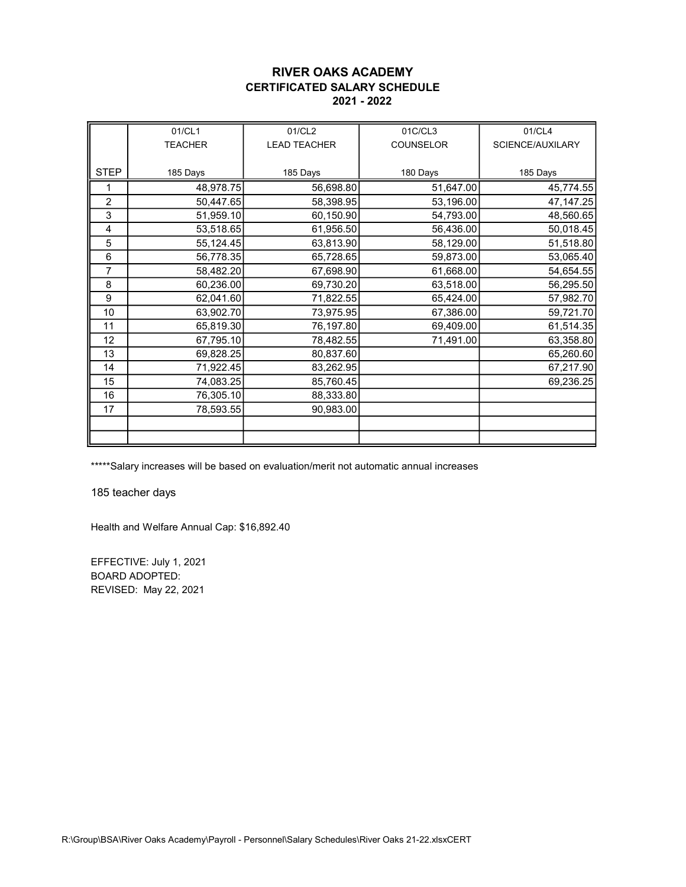#### RIVER OAKS ACADEMY CERTIFICATED SALARY SCHEDULE 2021 - 2022

|                | 01/CL1         | 01/CL2              | 01C/CL3   | 01/CL4           |
|----------------|----------------|---------------------|-----------|------------------|
|                | <b>TEACHER</b> | <b>LEAD TEACHER</b> | COUNSELOR | SCIENCE/AUXILARY |
|                |                |                     |           |                  |
| <b>STEP</b>    | 185 Days       | 185 Days            | 180 Days  | 185 Days         |
| 1              | 48,978.75      | 56,698.80           | 51,647.00 | 45,774.55        |
| $\overline{2}$ | 50,447.65      | 58,398.95           | 53,196.00 | 47, 147.25       |
| 3              | 51,959.10      | 60,150.90           | 54,793.00 | 48,560.65        |
| 4              | 53,518.65      | 61,956.50           | 56,436.00 | 50,018.45        |
| 5              | 55,124.45      | 63,813.90           | 58,129.00 | 51,518.80        |
| 6              | 56,778.35      | 65,728.65           | 59,873.00 | 53,065.40        |
| 7              | 58,482.20      | 67,698.90           | 61,668.00 | 54,654.55        |
| 8              | 60,236.00      | 69,730.20           | 63,518.00 | 56,295.50        |
| 9              | 62,041.60      | 71,822.55           | 65,424.00 | 57,982.70        |
| 10             | 63,902.70      | 73,975.95           | 67,386.00 | 59,721.70        |
| 11             | 65,819.30      | 76,197.80           | 69,409.00 | 61,514.35        |
| 12             | 67,795.10      | 78,482.55           | 71,491.00 | 63,358.80        |
| 13             | 69,828.25      | 80,837.60           |           | 65,260.60        |
| 14             | 71,922.45      | 83,262.95           |           | 67,217.90        |
| 15             | 74,083.25      | 85,760.45           |           | 69,236.25        |
| 16             | 76,305.10      | 88,333.80           |           |                  |
| 17             | 78,593.55      | 90,983.00           |           |                  |
|                |                |                     |           |                  |
|                |                |                     |           |                  |

\*\*\*\*\*Salary increases will be based on evaluation/merit not automatic annual increases

185 teacher days

Health and Welfare Annual Cap: \$16,892.40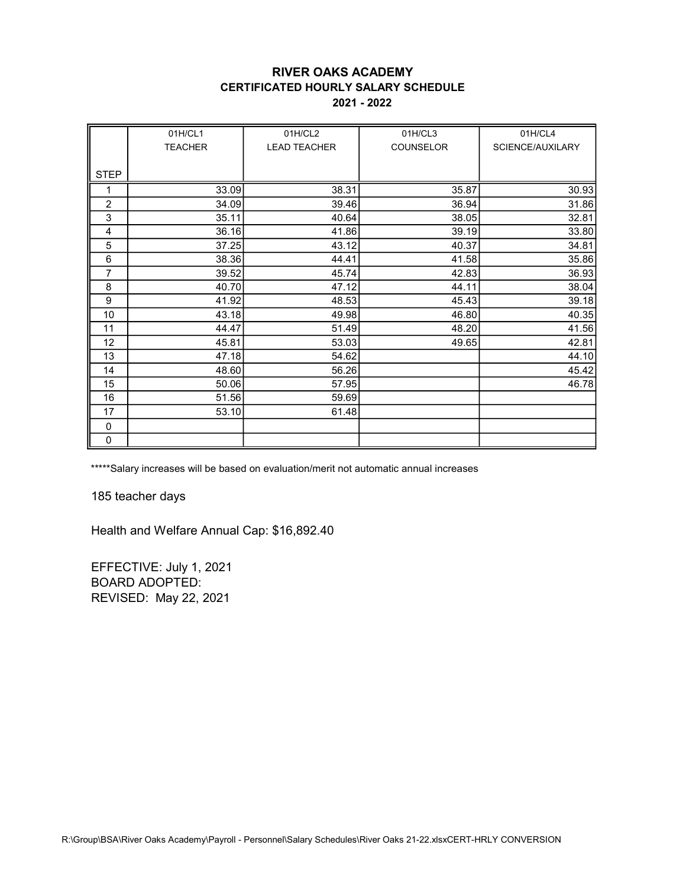### RIVER OAKS ACADEMY CERTIFICATED HOURLY SALARY SCHEDULE 2021 - 2022

|                | 01H/CL1        | 01H/CL2             | 01H/CL3   | 01H/CL4          |
|----------------|----------------|---------------------|-----------|------------------|
|                | <b>TEACHER</b> | <b>LEAD TEACHER</b> | COUNSELOR | SCIENCE/AUXILARY |
|                |                |                     |           |                  |
| <b>STEP</b>    |                |                     |           |                  |
| 1              | 33.09          | 38.31               | 35.87     | 30.93            |
| $\overline{c}$ | 34.09          | 39.46               | 36.94     | 31.86            |
| 3              | 35.11          | 40.64               | 38.05     | 32.81            |
| 4              | 36.16          | 41.86               | 39.19     | 33.80            |
| 5              | 37.25          | 43.12               | 40.37     | 34.81            |
| 6              | 38.36          | 44.41               | 41.58     | 35.86            |
| 7              | 39.52          | 45.74               | 42.83     | 36.93            |
| 8              | 40.70          | 47.12               | 44.11     | 38.04            |
| 9              | 41.92          | 48.53               | 45.43     | 39.18            |
| 10             | 43.18          | 49.98               | 46.80     | 40.35            |
| 11             | 44.47          | 51.49               | 48.20     | 41.56            |
| 12             | 45.81          | 53.03               | 49.65     | 42.81            |
| 13             | 47.18          | 54.62               |           | 44.10            |
| 14             | 48.60          | 56.26               |           | 45.42            |
| 15             | 50.06          | 57.95               |           | 46.78            |
| 16             | 51.56          | 59.69               |           |                  |
| 17             | 53.10          | 61.48               |           |                  |
| 0              |                |                     |           |                  |
| 0              |                |                     |           |                  |

\*\*\*\*\*Salary increases will be based on evaluation/merit not automatic annual increases

185 teacher days

Health and Welfare Annual Cap: \$16,892.40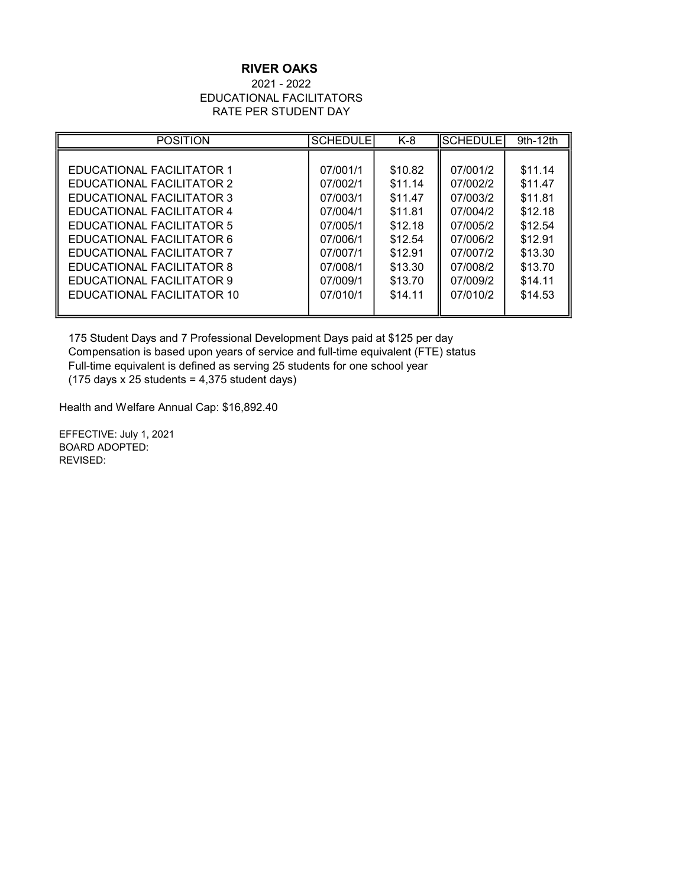## RIVER OAKS

#### 2021 - 2022 EDUCATIONAL FACILITATORS RATE PER STUDENT DAY

| <b>POSITION</b>                  | <b>SCHEDULE</b> | $K-8$   | <b>SCHEDULE</b> | 9th-12th |
|----------------------------------|-----------------|---------|-----------------|----------|
|                                  |                 |         |                 |          |
| <b>EDUCATIONAL FACILITATOR 1</b> | 07/001/1        | \$10.82 | 07/001/2        | \$11.14  |
| EDUCATIONAL FACILITATOR 2        | 07/002/1        | \$11.14 | 07/002/2        | \$11.47  |
| EDUCATIONAL FACILITATOR 3        | 07/003/1        | \$11.47 | 07/003/2        | \$11.81  |
| EDUCATIONAL FACILITATOR 4        | 07/004/1        | \$11.81 | 07/004/2        | \$12.18  |
| EDUCATIONAL FACILITATOR 5        | 07/005/1        | \$12.18 | 07/005/2        | \$12.54  |
| EDUCATIONAL FACILITATOR 6        | 07/006/1        | \$12.54 | 07/006/2        | \$12.91  |
| <b>EDUCATIONAL FACILITATOR 7</b> | 07/007/1        | \$12.91 | 07/007/2        | \$13.30  |
| EDUCATIONAL FACILITATOR 8        | 07/008/1        | \$13.30 | 07/008/2        | \$13.70  |
| EDUCATIONAL FACILITATOR 9        | 07/009/1        | \$13.70 | 07/009/2        | \$14.11  |
| EDUCATIONAL FACILITATOR 10       | 07/010/1        | \$14.11 | 07/010/2        | \$14.53  |
|                                  |                 |         |                 |          |

175 Student Days and 7 Professional Development Days paid at \$125 per day Compensation is based upon years of service and full-time equivalent (FTE) status Full-time equivalent is defined as serving 25 students for one school year  $(175 \text{ days} \times 25 \text{ students} = 4,375 \text{ student days})$ 

Health and Welfare Annual Cap: \$16,892.40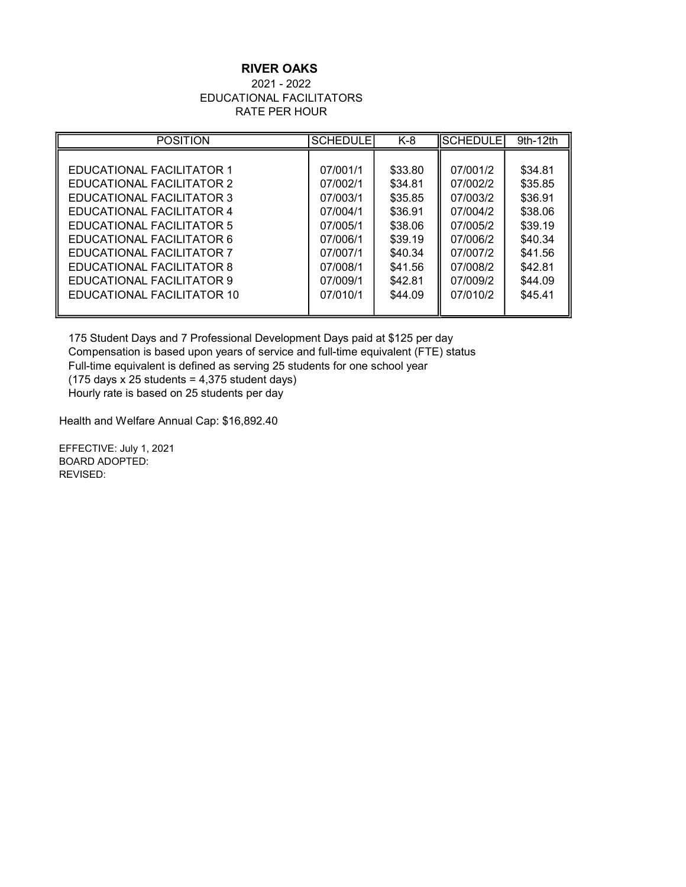## RIVER OAKS

#### 2021 - 2022 EDUCATIONAL FACILITATORS RATE PER HOUR

| <b>POSITION</b>                  | <b>SCHEDULE</b> | $K-8$   | <b>SCHEDULE</b> | $9th-12th$ |
|----------------------------------|-----------------|---------|-----------------|------------|
|                                  |                 |         |                 |            |
| <b>EDUCATIONAL FACILITATOR 1</b> | 07/001/1        | \$33.80 | 07/001/2        | \$34.81    |
| EDUCATIONAL FACILITATOR 2        | 07/002/1        | \$34.81 | 07/002/2        | \$35.85    |
| EDUCATIONAL FACILITATOR 3        | 07/003/1        | \$35.85 | 07/003/2        | \$36.91    |
| <b>EDUCATIONAL FACILITATOR 4</b> | 07/004/1        | \$36.91 | 07/004/2        | \$38.06    |
| EDUCATIONAL FACILITATOR 5        | 07/005/1        | \$38.06 | 07/005/2        | \$39.19    |
| EDUCATIONAL FACILITATOR 6        | 07/006/1        | \$39.19 | 07/006/2        | \$40.34    |
| <b>EDUCATIONAL FACILITATOR 7</b> | 07/007/1        | \$40.34 | 07/007/2        | \$41.56    |
| EDUCATIONAL FACILITATOR 8        | 07/008/1        | \$41.56 | 07/008/2        | \$42.81    |
| EDUCATIONAL FACILITATOR 9        | 07/009/1        | \$42.81 | 07/009/2        | \$44.09    |
| EDUCATIONAL FACILITATOR 10       | 07/010/1        | \$44.09 | 07/010/2        | \$45.41    |
|                                  |                 |         |                 |            |

175 Student Days and 7 Professional Development Days paid at \$125 per day Compensation is based upon years of service and full-time equivalent (FTE) status Full-time equivalent is defined as serving 25 students for one school year  $(175 \text{ days} \times 25 \text{ students} = 4,375 \text{ student days})$ Hourly rate is based on 25 students per day

Health and Welfare Annual Cap: \$16,892.40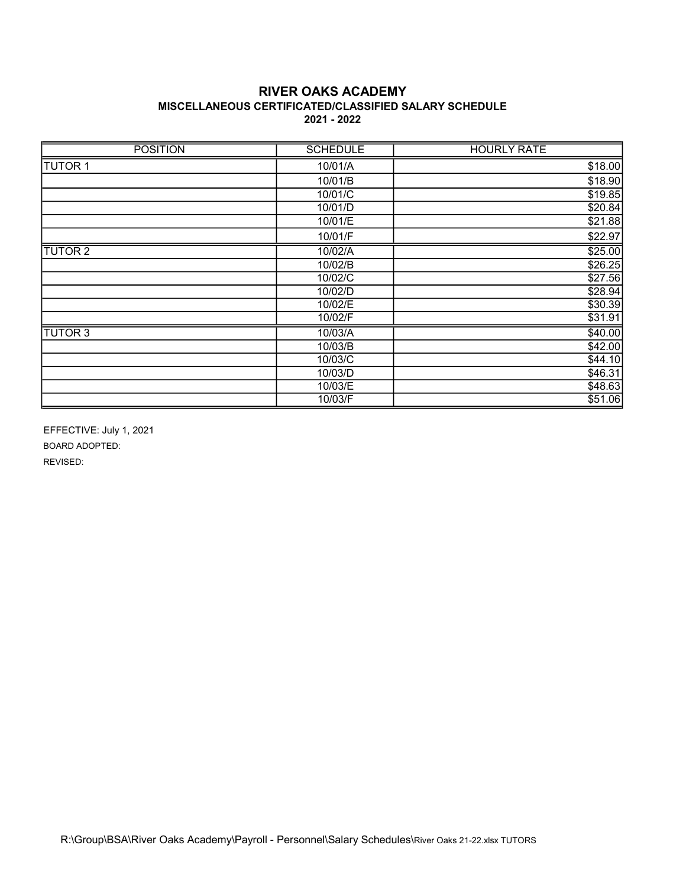### RIVER OAKS ACADEMY MISCELLANEOUS CERTIFICATED/CLASSIFIED SALARY SCHEDULE 2021 - 2022

| <b>POSITION</b> | <b>SCHEDULE</b> | <b>HOURLY RATE</b> |
|-----------------|-----------------|--------------------|
| <b>TUTOR 1</b>  | 10/01/A         | \$18.00            |
|                 | 10/01/B         | \$18.90            |
|                 | 10/01/C         | \$19.85            |
|                 | 10/01/D         | \$20.84            |
|                 | 10/01/E         | \$21.88            |
|                 | 10/01/F         | \$22.97            |
| <b>TUTOR 2</b>  | 10/02/A         | \$25.00            |
|                 | 10/02/B         | \$26.25            |
|                 | 10/02/C         | \$27.56            |
|                 | 10/02/D         | \$28.94            |
|                 | 10/02/E         | \$30.39            |
|                 | 10/02/F         | \$31.91            |
| <b>TUTOR 3</b>  | 10/03/A         | \$40.00            |
|                 | 10/03/B         | \$42.00            |
|                 | 10/03/C         | \$44.10            |
|                 | 10/03/D         | \$46.31            |
|                 | 10/03/E         | \$48.63            |
|                 | 10/03/F         | \$51.06            |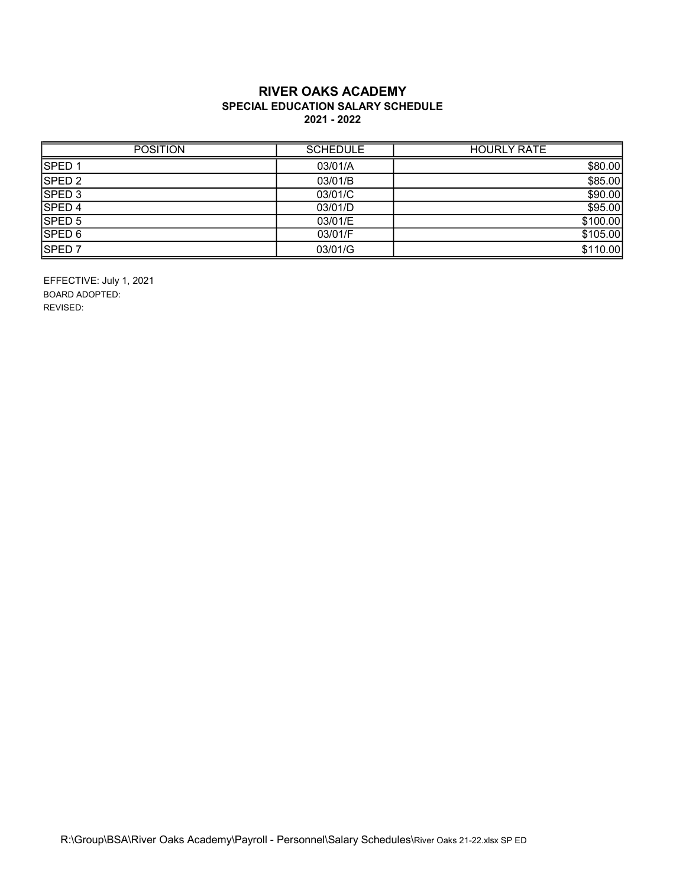### RIVER OAKS ACADEMY SPECIAL EDUCATION SALARY SCHEDULE 2021 - 2022

| <b>POSITION</b>   | <b>SCHEDULE</b> | <b>HOURLY RATE</b> |
|-------------------|-----------------|--------------------|
| SPED <sub>1</sub> | 03/01/A         | \$80.00            |
| SPED <sub>2</sub> | 03/01/B         | \$85.00            |
| SPED <sub>3</sub> | 03/01/C         | \$90.00            |
| SPED 4            | 03/01/D         | \$95.00            |
| SPED 5            | 03/01/E         | \$100.00           |
| SPED 6            | 03/01/F         | \$105.00           |
| SPED <sub>7</sub> | 03/01/G         | \$110.00           |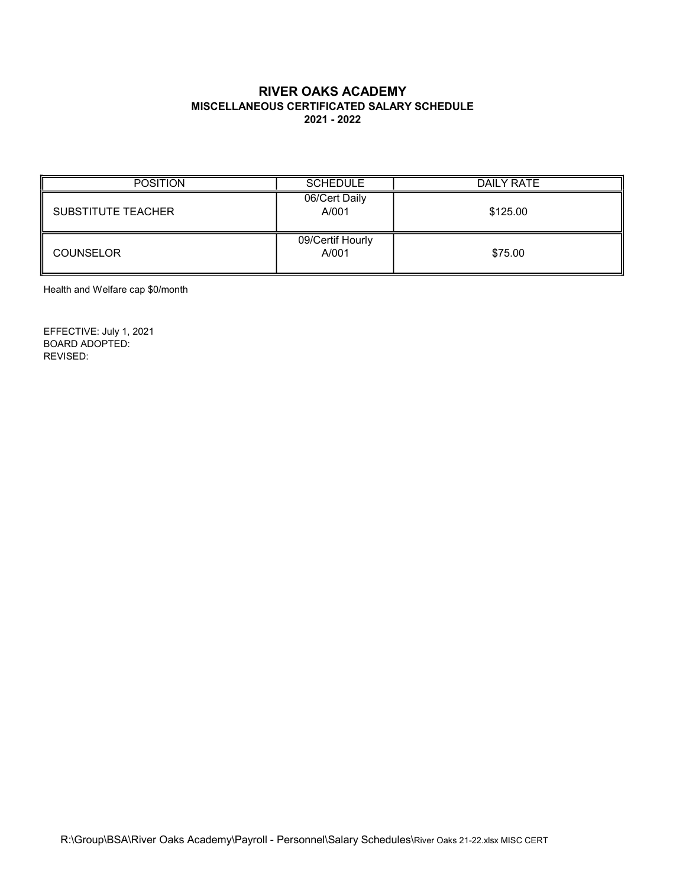### RIVER OAKS ACADEMY MISCELLANEOUS CERTIFICATED SALARY SCHEDULE 2021 - 2022

| <b>POSITION</b>           | <b>SCHEDULE</b>           | DAILY RATE |
|---------------------------|---------------------------|------------|
| <b>SUBSTITUTE TEACHER</b> | 06/Cert Daily<br>A/001    | \$125.00   |
| <b>COUNSELOR</b>          | 09/Certif Hourly<br>A/001 | \$75.00    |

Health and Welfare cap \$0/month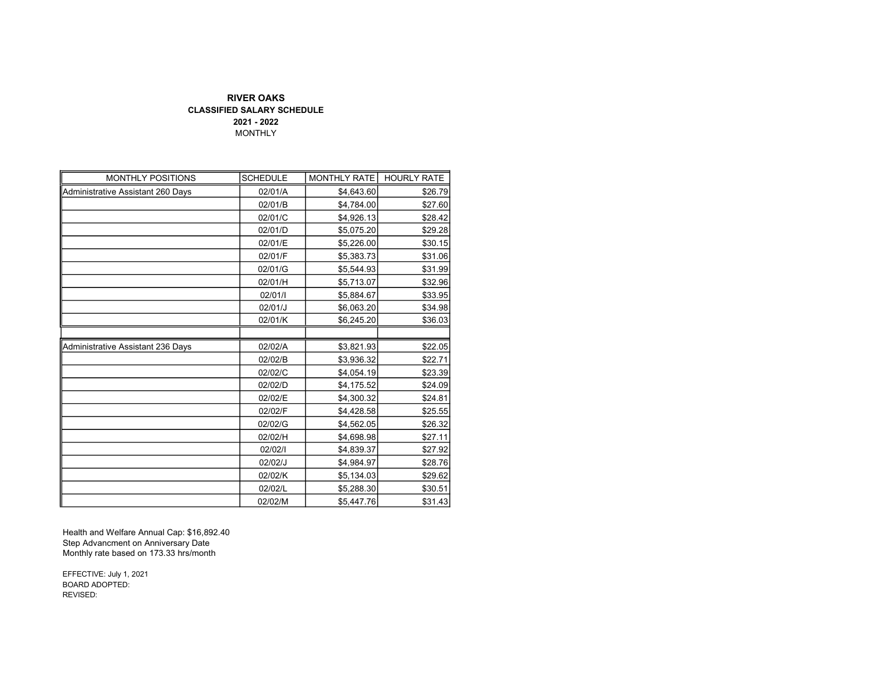#### RIVER OAKS CLASSIFIED SALARY SCHEDULE 2021 - 2022 MONTHLY

| <b>MONTHLY POSITIONS</b>          | <b>SCHEDULE</b> | <b>MONTHLY RATE</b> | <b>HOURLY RATE</b> |
|-----------------------------------|-----------------|---------------------|--------------------|
| Administrative Assistant 260 Days | 02/01/A         | \$4,643.60          | \$26.79            |
|                                   | 02/01/B         | \$4,784.00          | \$27.60            |
|                                   | 02/01/C         | \$4,926.13          | \$28.42            |
|                                   | 02/01/D         | \$5,075.20          | \$29.28            |
|                                   | 02/01/E         | \$5,226.00          | \$30.15            |
|                                   | 02/01/F         | \$5,383.73          | \$31.06            |
|                                   | 02/01/G         | \$5,544.93          | \$31.99            |
|                                   | 02/01/H         | \$5,713.07          | \$32.96            |
|                                   | 02/01/1         | \$5,884.67          | \$33.95            |
|                                   | 02/01/J         | \$6,063.20          | \$34.98            |
|                                   | 02/01/K         | \$6,245.20          | \$36.03            |
|                                   |                 |                     |                    |
| Administrative Assistant 236 Days | 02/02/A         | \$3,821.93          | \$22.05            |
|                                   | 02/02/B         | \$3,936.32          | \$22.71            |
|                                   | 02/02/C         | \$4,054.19          | \$23.39            |
|                                   | 02/02/D         | \$4,175.52          | \$24.09            |
|                                   | 02/02/E         | \$4,300.32          | \$24.81            |
|                                   | 02/02/F         | \$4,428.58          | \$25.55            |
|                                   | 02/02/G         | \$4,562.05          | \$26.32            |
|                                   | 02/02/H         | \$4,698.98          | \$27.11            |
|                                   | 02/02/1         | \$4,839.37          | \$27.92            |
|                                   | 02/02/J         | \$4,984.97          | \$28.76            |
|                                   | 02/02/K         | \$5,134.03          | \$29.62            |
|                                   | 02/02/L         | \$5,288.30          | \$30.51            |
|                                   | 02/02/M         | \$5,447.76          | \$31.43            |

Health and Welfare Annual Cap: \$16,892.40 Step Advancment on Anniversary Date Monthly rate based on 173.33 hrs/month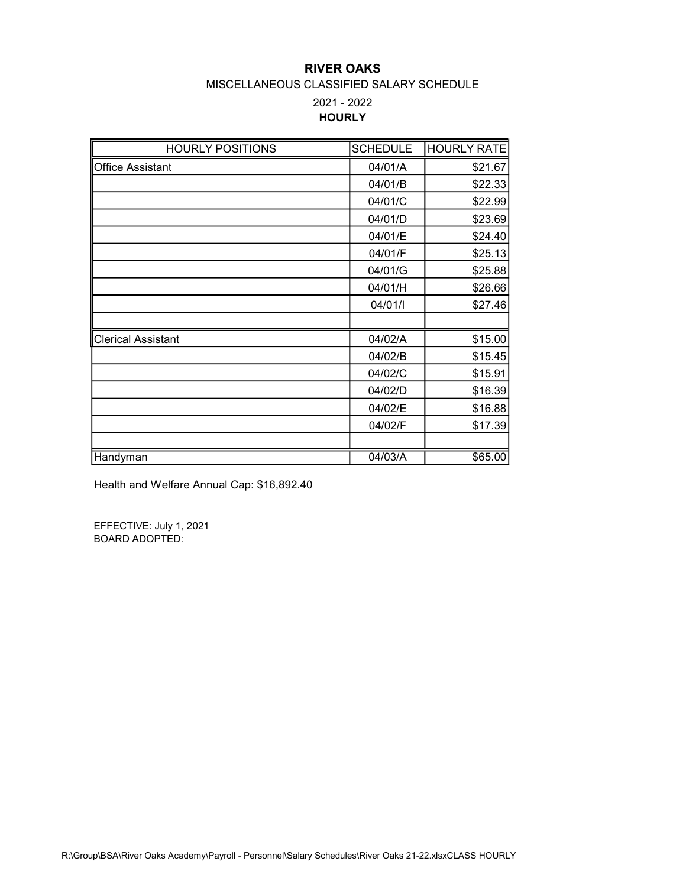## RIVER OAKS

#### MISCELLANEOUS CLASSIFIED SALARY SCHEDULE

# 2021 - 2022 **HOURLY**

| <b>HOURLY POSITIONS</b>   | <b>SCHEDULE</b> | <b>HOURLY RATE</b> |
|---------------------------|-----------------|--------------------|
| Office Assistant          | 04/01/A         | \$21.67            |
|                           | 04/01/B         | \$22.33            |
|                           | 04/01/C         | \$22.99            |
|                           | 04/01/D         | \$23.69            |
|                           | 04/01/E         | \$24.40            |
|                           | 04/01/F         | \$25.13            |
|                           | 04/01/G         | \$25.88            |
|                           | 04/01/H         | \$26.66            |
|                           | 04/01/l         | \$27.46            |
|                           |                 |                    |
| <b>Clerical Assistant</b> | 04/02/A         | \$15.00            |
|                           | 04/02/B         | \$15.45            |
|                           | 04/02/C         | \$15.91            |
|                           | 04/02/D         | \$16.39            |
|                           | 04/02/E         | \$16.88            |
|                           | 04/02/F         | \$17.39            |
|                           |                 |                    |
| Handyman                  | 04/03/A         | \$65.00            |

Health and Welfare Annual Cap: \$16,892.40

EFFECTIVE: July 1, 2021 BOARD ADOPTED: